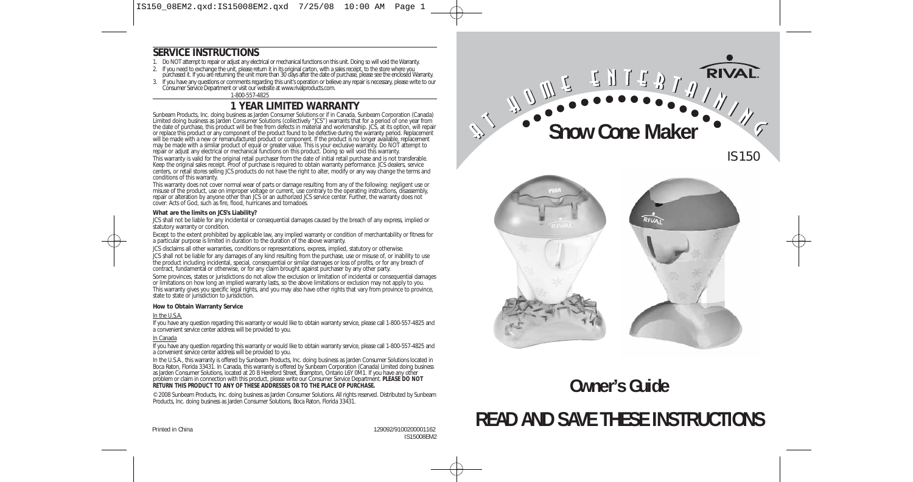IS150\_08EM2.qxd:IS15008EM2.qxd 7/25/08 10:00 AM Page 1

#### **SERVICE INSTRUCTIONS**

- 1. Do NOT attempt to repair or adjust any electrical or mechanical functions on this unit. Doing so will void the Warranty.
- If you need to exchange the unit, please return it in its original carton, with a sales receipt, to the store where you<br>purchased it. If you are returning the unit more than 30 days after the date of purchase, please see t
- 3. If you have any questions or comments regarding this unit's operation or believe any repair is necessary, please write to our Consumer Service Department or visit our website at www.rivalproducts.com.

1-800-557-4825

#### **1 YEAR LIMITED WARRANTY**

Sunbeam Products, Inc. doing business as Jarden Consumer Solutions or if in Canada, Sunbeam Corporation (Canada)<br>Limited doing business as Jarden Consumer Solutions (collectively "JCS") warrants that for a period of one ye the date of purchase, this product will be free from defects in material and workmanship. JCS, at its option, will repair or replace this product or any component of the product found to be defective during the warranty period. Replacement will be made with a new or remanufactured product or component. If the product is no longer available, replacement<br>may be made with a similar product of equal or greater value. This is your exclusive warranty. Do NOT attem repair or adjust any electrical or mechanical functions on this product. Doing so will void this warranty. This warranty is valid for the original retail purchaser from the date of initial retail purchase and is not transferable. Keep the original sales receipt. Proof of purchase is required to obtain warranty performance. JCS dealers, service centers, or retail stores selling JCS products do not have the right to alter, modify or any way change the terms and conditions of this warranty.

This warranty does not cover normal wear of parts or damage resulting from any of the following: negligent use or misuse of the product, use on improper voltage or current, use contrary to the operating instructions, disassembly,<br>repair or alteration by anyone other than JCS or an authorized JCS service center. Further, the warranty d cover: Acts of God, such as fire, flood, hurricanes and tornadoes.

#### **What are the limits on JCS's Liability?**

JCS shall not be liable for any incidental or consequential damages caused by the breach of any express, implied or statutory warranty or condition.

Except to the extent prohibited by applicable law, any implied warranty or condition of merchantability or fitness for a particular purpose is limited in duration to the duration of the above warranty.

JCS disclaims all other warranties, conditions or representations, express, implied, statutory or otherwise. JCS shall not be liable for any damages of any kind resulting from the purchase, use or misuse of, or inability to use the product including incidental, special, consequential or similar damages or loss of profits, or for any breach of contract, fundamental or otherwise, or for any claim brought against purchaser by any other party.

Some provinces, states or jurisdictions do not allow the exclusion or limitation of incidental or consequential damages or limitations on how long an implied warranty lasts, so the above limitations or exclusion may not apply to you. This warranty gives you specific legal rights, and you may also have other rights that vary from province to province, state to state or jurisdiction to jurisdiction.

#### **How to Obtain Warranty Service**

#### In the U.S.A.

If you have any question regarding this warranty or would like to obtain warranty service, please call 1-800-557-4825 and a convenient service center address will be provided to you.

#### In Canada

If you have any question regarding this warranty or would like to obtain warranty service, please call 1-800-557-4825 and a convenient service center address will be provided to you.

In the U.S.A., this warranty is offered by Sunbeam Products, Inc. doing business as Jarden Consumer Solutions located in<br>Boca Raton, Florida 33431. In Canada, this warranty is offered by Sunbeam Corporation (Canada) Limite problem or claim in connection with this product, please write our Consumer Service Department. **PLEASE DO NOT RETURN THIS PRODUCT TO ANY OF THESE ADDRESSES OR TO THE PLACE OF PURCHASE.** 

© 2008 Sunbeam Products, Inc. doing business as Jarden Consumer Solutions. All rights reserved. Distributed by Sunbeam Products, Inc. doing business as Jarden Consumer Solutions, Boca Raton, Florida 33431.

**RIVA CHITS Snow Cone Maker**



IS150

## **Owner's Guide**

# **READ AND SAVE THESE INSTRUCTIONS**

Printed in China 129092/9100200001162 IS15008EM2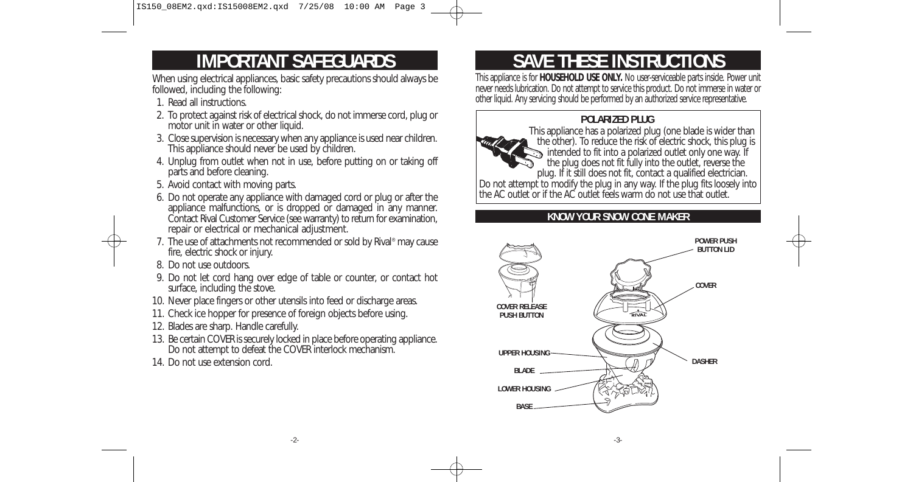IS150\_08EM2.qxd:IS15008EM2.qxd 7/25/08 10:00 AM Page 3

## **IMPORTANT SAFEGUARDS**

When using electrical appliances, basic safety precautions should always be followed, including the following:

- 1. Read all instructions.
- 2. To protect against risk of electrical shock, do not immerse cord, plug or motor unit in water or other liquid.
- 3. Close supervision is necessary when any appliance is used near children. This appliance should never be used by children.
- 4. Unplug from outlet when not in use, before putting on or taking off parts and before cleaning.
- 5. Avoid contact with moving parts.
- 6. Do not operate any appliance with damaged cord or plug or after the appliance malfunctions, or is dropped or damaged in any manner. Contact Rival Customer Service (see warranty) to return for examination, repair or electrical or mechanical adjustment.
- 7. The use of attachments not recommended or sold by Rival® may cause fire, electric shock or injury.
- 8. Do not use outdoors.
- 9. Do not let cord hang over edge of table or counter, or contact hot surface, including the stove.
- 10. Never place fingers or other utensils into feed or discharge areas.
- 11. Check ice hopper for presence of foreign objects before using.
- 12. Blades are sharp. Handle carefully.
- 13. Be certain COVER is securely locked in place before operating appliance. Do not attempt to defeat the COVER interlock mechanism.
- 14. Do not use extension cord.

# **SAVE THESE INSTRUCTIONS**

This appliance is for **HOUSEHOLD USE ONLY.** No user-serviceable parts inside. Power unit never needs lubrication. Do not attempt to service this product. Do not immerse in water or other liquid. Any servicing should be performed by an authorized service representative.

### **POLARIZED PLUG**



This appliance has a polarized plug (one blade is wider than the other). To reduce the risk of electric shock, this plug is intended to fit into a polarized outlet only one way. If the plug does not fit fully into the outlet, reverse the plug. If it still does not fit, contact a qualified electrician.

Do not attempt to modify the plug in any way. If the plug fits loosely into the AC outlet or if the AC outlet feels warm do not use that outlet.

### **KNOW YOUR SNOW CONE MAKER**

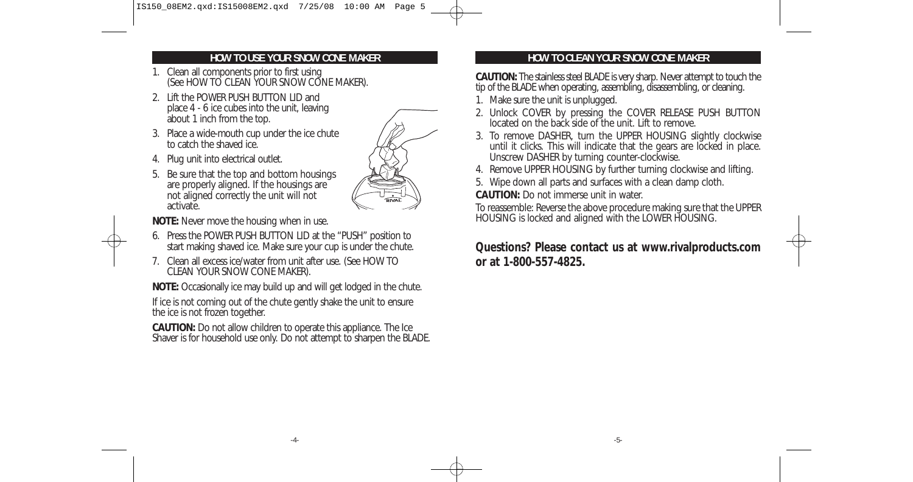### **HOW TO USE YOUR SNOW CONE MAKER**

- 1. Clean all components prior to first using (See HOW TO CLEAN YOUR SNOW CONE MAKER).
- 2. Lift the POWER PUSH BUTTON LID and place 4 - 6 ice cubes into the unit, leaving about 1 inch from the top.
- 3. Place a wide-mouth cup under the ice chute to catch the shaved ice.
- 4. Plug unit into electrical outlet.
- 5. Be sure that the top and bottom housings are properly aligned. If the housings are not aligned correctly the unit will not activate.



**NOTE:** Never move the housing when in use.

- 6. Press the POWER PUSH BUTTON LID at the "PUSH" position to start making shaved ice. Make sure your cup is under the chute.
- 7. Clean all excess ice/water from unit after use. (See HOW TO CLEAN YOUR SNOW CONE MAKER).

**NOTE:** Occasionally ice may build up and will get lodged in the chute.

If ice is not coming out of the chute gently shake the unit to ensure the ice is not frozen together.

**CAUTION:** Do not allow children to operate this appliance. The Ice Shaver is for household use only. Do not attempt to sharpen the BLADE.

## **HOW TO CLEAN YOUR SNOW CONE MAKER**

**CAUTION:** The stainless steel BLADE is very sharp. Never attempt to touch the tip of the BLADE when operating, assembling, disassembling, or cleaning.

- 1. Make sure the unit is unplugged.
- 2. Unlock COVER by pressing the COVER RELEASE PUSH BUTTON located on the back side of the unit. Lift to remove.
- 3. To remove DASHER, turn the UPPER HOUSING slightly clockwise until it clicks. This will indicate that the gears are locked in place. Unscrew DASHER by turning counter-clockwise.
- 4. Remove UPPER HOUSING by further turning clockwise and lifting.
- 5. Wipe down all parts and surfaces with a clean damp cloth.
- **CAUTION:** Do not immerse unit in water.

To reassemble: Reverse the above procedure making sure that the UPPER HOUSING is locked and aligned with the LOWER HOUSING.

**Questions? Please contact us at www.rivalproducts.com or at 1-800-557-4825.**